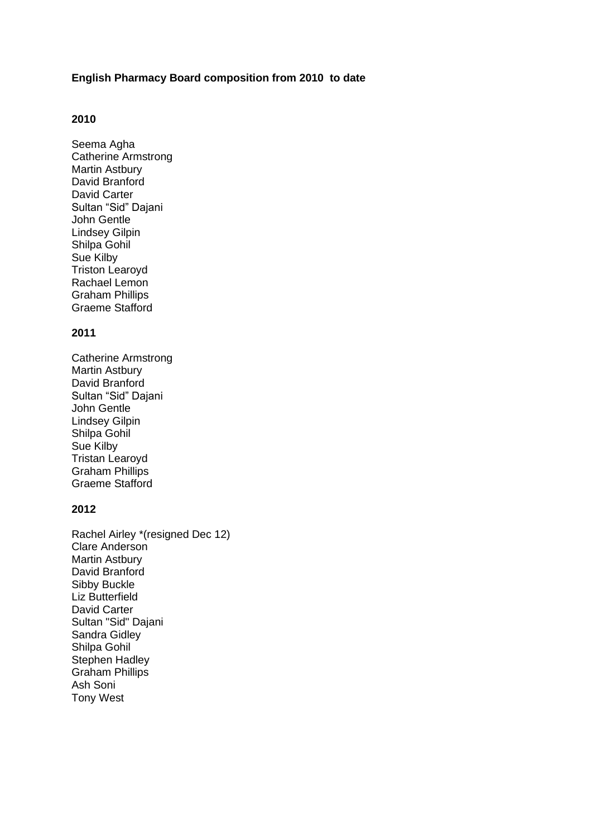### **English Pharmacy Board composition from 2010 to date**

# **2010**

Seema Agha Catherine Armstrong Martin Astbury David Branford David Carter Sultan "Sid" Dajani John Gentle Lindsey Gilpin Shilpa Gohil Sue Kilby Triston Learoyd Rachael Lemon Graham Phillips Graeme Stafford

### **2011**

Catherine Armstrong Martin Astbury David Branford Sultan "Sid" Dajani John Gentle Lindsey Gilpin Shilpa Gohil Sue Kilby Tristan Learoyd Graham Phillips Graeme Stafford

### **2012**

Rachel Airley \*(resigned Dec 12) Clare Anderson Martin Astbury David Branford Sibby Buckle Liz Butterfield David Carter Sultan "Sid" Dajani Sandra Gidley Shilpa Gohil Stephen Hadley Graham Phillips Ash Soni Tony West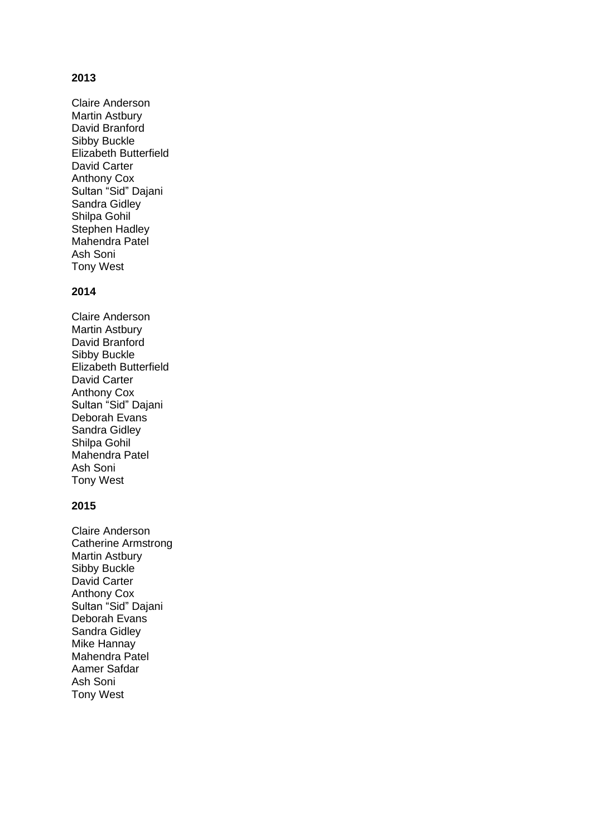## **2013**

Claire Anderson Martin Astbury David Branford Sibby Buckle Elizabeth Butterfield David Carter Anthony Cox Sultan "Sid" Dajani Sandra Gidley Shilpa Gohil Stephen Hadley Mahendra Patel Ash Soni Tony West

### **2014**

Claire Anderson Martin Astbury David Branford Sibby Buckle Elizabeth Butterfield David Carter Anthony Cox Sultan "Sid" Dajani Deborah Evans Sandra Gidley Shilpa Gohil Mahendra Patel Ash Soni Tony West

#### **2015**

Claire Anderson Catherine Armstrong Martin Astbury Sibby Buckle David Carter Anthony Cox Sultan "Sid" Dajani Deborah Evans Sandra Gidley Mike Hannay Mahendra Patel Aamer Safdar Ash Soni Tony West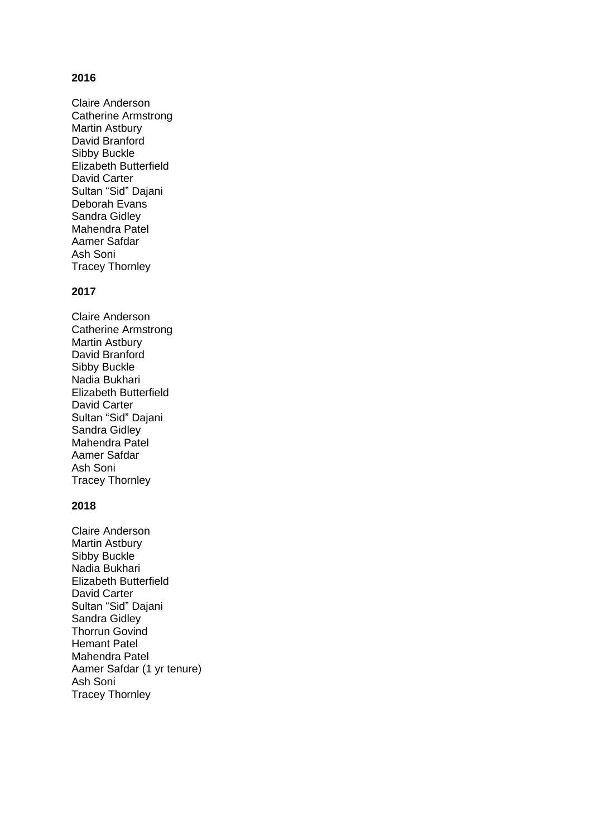## **2016**

Claire Anderson Catherine Armstrong Martin Astbury David Branford Sibby Buckle Elizabeth Butterfield David Carter Sultan "Sid" Dajani Deborah Evans Sandra Gidley Mahendra Patel Aamer Safdar Ash Soni Tracey Thornley

### **2017**

Claire Anderson Catherine Armstrong Martin Astbury David Branford Sibby Buckle Nadia Bukhari Elizabeth Butterfield David Carter Sultan "Sid" Dajani Sandra Gidley Mahendra Patel Aamer Safdar Ash Soni Tracey Thornley

### **2018**

Claire Anderson Martin Astbury Sibby Buckle Nadia Bukhari Elizabeth Butterfield David Carter Sultan "Sid" Dajani Sandra Gidley Thorrun Govind Hemant Patel Mahendra Patel Aamer Safdar (1 yr tenure) Ash Soni Tracey Thornley